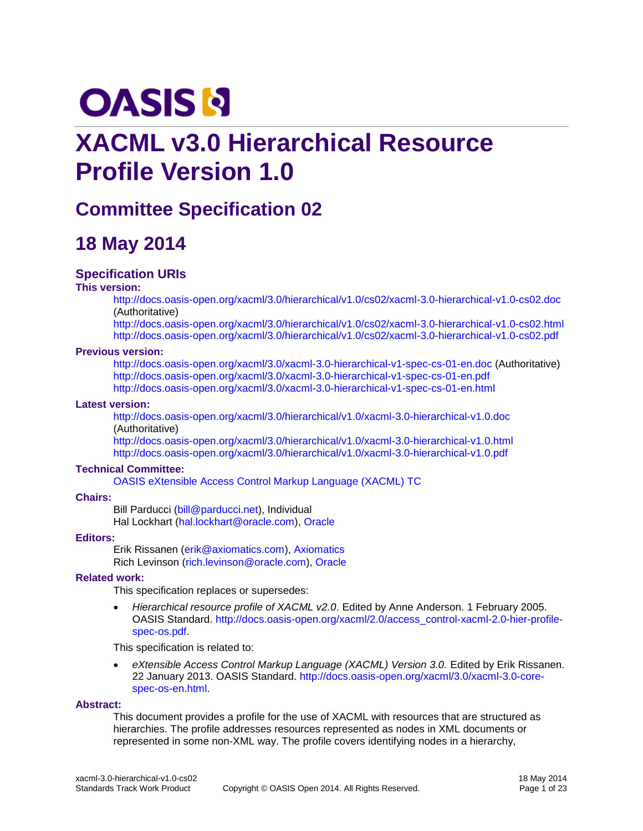# **OASIS N**

## **XACML v3.0 Hierarchical Resource Profile Version 1.0**

## **Committee Specification 02**

## **18 May 2014**

### **Specification URIs**

#### **This version:**

<http://docs.oasis-open.org/xacml/3.0/hierarchical/v1.0/cs02/xacml-3.0-hierarchical-v1.0-cs02.doc> (Authoritative)

<http://docs.oasis-open.org/xacml/3.0/hierarchical/v1.0/cs02/xacml-3.0-hierarchical-v1.0-cs02.html> <http://docs.oasis-open.org/xacml/3.0/hierarchical/v1.0/cs02/xacml-3.0-hierarchical-v1.0-cs02.pdf>

#### **Previous version:**

<http://docs.oasis-open.org/xacml/3.0/xacml-3.0-hierarchical-v1-spec-cs-01-en.doc> (Authoritative) <http://docs.oasis-open.org/xacml/3.0/xacml-3.0-hierarchical-v1-spec-cs-01-en.pdf> <http://docs.oasis-open.org/xacml/3.0/xacml-3.0-hierarchical-v1-spec-cs-01-en.html>

#### **Latest version:**

<http://docs.oasis-open.org/xacml/3.0/hierarchical/v1.0/xacml-3.0-hierarchical-v1.0.doc> (Authoritative)

<http://docs.oasis-open.org/xacml/3.0/hierarchical/v1.0/xacml-3.0-hierarchical-v1.0.html> <http://docs.oasis-open.org/xacml/3.0/hierarchical/v1.0/xacml-3.0-hierarchical-v1.0.pdf>

#### **Technical Committee:**

[OASIS eXtensible Access Control Markup Language \(XACML\) TC](https://www.oasis-open.org/committees/xacml/)

#### **Chairs:**

Bill Parducci [\(bill@parducci.net\)](mailto:bill@parducci.net), Individual Hal Lockhart [\(hal.lockhart@oracle.com\)](mailto:hal.lockhart@oracle.com), [Oracle](http://www.oracle.com/)

#### **Editors:**

Erik Rissanen [\(erik@axiomatics.com\)](mailto:erik@axiomatics.com), [Axiomatics](http://www.axiomatics.com/) Rich Levinson [\(rich.levinson@oracle.com\)](mailto:rich.levinson@oracle.com), [Oracle](http://www.oracle.com/)

#### **Related work:**

This specification replaces or supersedes:

 *Hierarchical resource profile of XACML v2.0*. Edited by Anne Anderson. 1 February 2005. OASIS Standard. [http://docs.oasis-open.org/xacml/2.0/access\\_control-xacml-2.0-hier-profile](http://docs.oasis-open.org/xacml/2.0/access_control-xacml-2.0-hier-profile-spec-os.pdf)[spec-os.pdf.](http://docs.oasis-open.org/xacml/2.0/access_control-xacml-2.0-hier-profile-spec-os.pdf)

This specification is related to:

 *eXtensible Access Control Markup Language (XACML) Version 3.0.* Edited by Erik Rissanen. 22 January 2013. OASIS Standard. [http://docs.oasis-open.org/xacml/3.0/xacml-3.0-core](http://docs.oasis-open.org/xacml/3.0/xacml-3.0-core-spec-os-en.html)[spec-os-en.html.](http://docs.oasis-open.org/xacml/3.0/xacml-3.0-core-spec-os-en.html)

#### **Abstract:**

This document provides a profile for the use of XACML with resources that are structured as hierarchies. The profile addresses resources represented as nodes in XML documents or represented in some non-XML way. The profile covers identifying nodes in a hierarchy,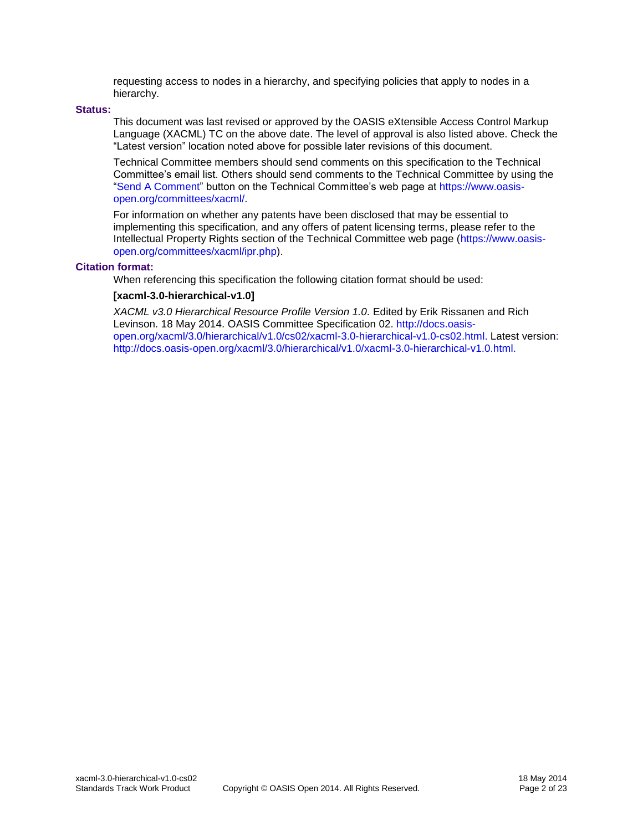requesting access to nodes in a hierarchy, and specifying policies that apply to nodes in a hierarchy.

#### **Status:**

This document was last revised or approved by the OASIS eXtensible Access Control Markup Language (XACML) TC on the above date. The level of approval is also listed above. Check the "Latest version" location noted above for possible later revisions of this document.

Technical Committee members should send comments on this specification to the Technical Committee's email list. Others should send comments to the Technical Committee by using the ["Send A Comment"](https://www.oasis-open.org/committees/comments/index.php?wg_abbrev=xacml) button on the Technical Committee's web page at [https://www.oasis](https://www.oasis-open.org/committees/xacml/)[open.org/committees/xacml/.](https://www.oasis-open.org/committees/xacml/)

For information on whether any patents have been disclosed that may be essential to implementing this specification, and any offers of patent licensing terms, please refer to the Intellectual Property Rights section of the Technical Committee web page [\(https://www.oasis](https://www.oasis-open.org/committees/xacml/ipr.php)[open.org/committees/xacml/ipr.php\)](https://www.oasis-open.org/committees/xacml/ipr.php).

#### **Citation format:**

When referencing this specification the following citation format should be used:

#### **[xacml-3.0-hierarchical-v1.0]**

XACML v3.0 Hierarchical Resource Profile Version 1.0. Edited by Erik Rissanen and Rich Levinson. 18 May 2014. OASIS Committee Specification 02. [http://docs.oasis](http://docs.oasis-open.org/xacml/3.0/hierarchical/v1.0/cs02/xacml-3.0-hierarchical-v1.0-cs02.html)[open.org/xacml/3.0/hierarchical/v1.0/cs02/xacml-3.0-hierarchical-v1.0-cs02.html.](http://docs.oasis-open.org/xacml/3.0/hierarchical/v1.0/cs02/xacml-3.0-hierarchical-v1.0-cs02.html) Latest version: [http://docs.oasis-open.org/xacml/3.0/hierarchical/v1.0/xacml-3.0-hierarchical-v1.0.html.](http://docs.oasis-open.org/xacml/3.0/hierarchical/v1.0/xacml-3.0-hierarchical-v1.0.html)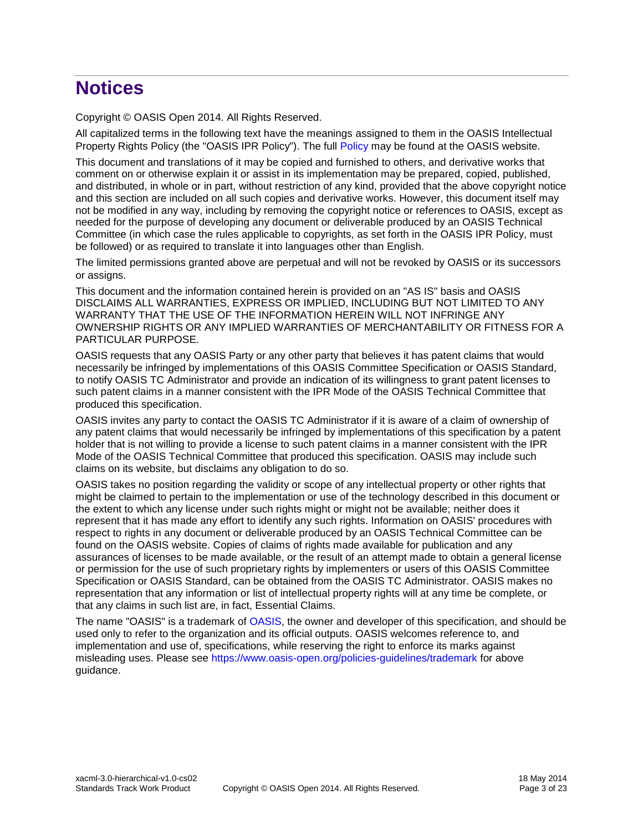## **Notices**

Copyright © OASIS Open 2014. All Rights Reserved.

All capitalized terms in the following text have the meanings assigned to them in the OASIS Intellectual Property Rights Policy (the "OASIS IPR Policy"). The full [Policy](https://www.oasis-open.org/policies-guidelines/ipr) may be found at the OASIS website.

This document and translations of it may be copied and furnished to others, and derivative works that comment on or otherwise explain it or assist in its implementation may be prepared, copied, published, and distributed, in whole or in part, without restriction of any kind, provided that the above copyright notice and this section are included on all such copies and derivative works. However, this document itself may not be modified in any way, including by removing the copyright notice or references to OASIS, except as needed for the purpose of developing any document or deliverable produced by an OASIS Technical Committee (in which case the rules applicable to copyrights, as set forth in the OASIS IPR Policy, must be followed) or as required to translate it into languages other than English.

The limited permissions granted above are perpetual and will not be revoked by OASIS or its successors or assigns.

This document and the information contained herein is provided on an "AS IS" basis and OASIS DISCLAIMS ALL WARRANTIES, EXPRESS OR IMPLIED, INCLUDING BUT NOT LIMITED TO ANY WARRANTY THAT THE USE OF THE INFORMATION HEREIN WILL NOT INFRINGE ANY OWNERSHIP RIGHTS OR ANY IMPLIED WARRANTIES OF MERCHANTABILITY OR FITNESS FOR A PARTICULAR PURPOSE.

OASIS requests that any OASIS Party or any other party that believes it has patent claims that would necessarily be infringed by implementations of this OASIS Committee Specification or OASIS Standard, to notify OASIS TC Administrator and provide an indication of its willingness to grant patent licenses to such patent claims in a manner consistent with the IPR Mode of the OASIS Technical Committee that produced this specification.

OASIS invites any party to contact the OASIS TC Administrator if it is aware of a claim of ownership of any patent claims that would necessarily be infringed by implementations of this specification by a patent holder that is not willing to provide a license to such patent claims in a manner consistent with the IPR Mode of the OASIS Technical Committee that produced this specification. OASIS may include such claims on its website, but disclaims any obligation to do so.

OASIS takes no position regarding the validity or scope of any intellectual property or other rights that might be claimed to pertain to the implementation or use of the technology described in this document or the extent to which any license under such rights might or might not be available; neither does it represent that it has made any effort to identify any such rights. Information on OASIS' procedures with respect to rights in any document or deliverable produced by an OASIS Technical Committee can be found on the OASIS website. Copies of claims of rights made available for publication and any assurances of licenses to be made available, or the result of an attempt made to obtain a general license or permission for the use of such proprietary rights by implementers or users of this OASIS Committee Specification or OASIS Standard, can be obtained from the OASIS TC Administrator. OASIS makes no representation that any information or list of intellectual property rights will at any time be complete, or that any claims in such list are, in fact, Essential Claims.

The name "OASIS" is a trademark of [OASIS,](https://www.oasis-open.org/) the owner and developer of this specification, and should be used only to refer to the organization and its official outputs. OASIS welcomes reference to, and implementation and use of, specifications, while reserving the right to enforce its marks against misleading uses. Please see<https://www.oasis-open.org/policies-guidelines/trademark> for above guidance.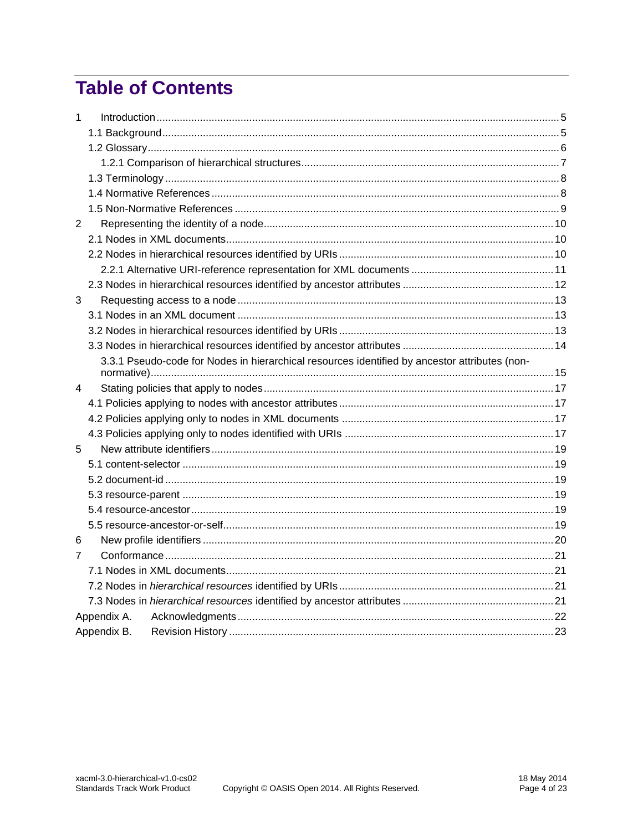## **Table of Contents**

| 1 |                                                                                               |  |
|---|-----------------------------------------------------------------------------------------------|--|
|   |                                                                                               |  |
|   |                                                                                               |  |
|   |                                                                                               |  |
|   |                                                                                               |  |
|   |                                                                                               |  |
|   |                                                                                               |  |
| 2 |                                                                                               |  |
|   |                                                                                               |  |
|   |                                                                                               |  |
|   |                                                                                               |  |
|   |                                                                                               |  |
| 3 |                                                                                               |  |
|   |                                                                                               |  |
|   |                                                                                               |  |
|   |                                                                                               |  |
|   | 3.3.1 Pseudo-code for Nodes in hierarchical resources identified by ancestor attributes (non- |  |
|   |                                                                                               |  |
| 4 |                                                                                               |  |
|   |                                                                                               |  |
|   |                                                                                               |  |
|   |                                                                                               |  |
| 5 |                                                                                               |  |
|   |                                                                                               |  |
|   |                                                                                               |  |
|   |                                                                                               |  |
|   |                                                                                               |  |
|   |                                                                                               |  |
| 6 |                                                                                               |  |
| 7 |                                                                                               |  |
|   |                                                                                               |  |
|   |                                                                                               |  |
|   |                                                                                               |  |
|   | Appendix A.                                                                                   |  |
|   | Appendix B.                                                                                   |  |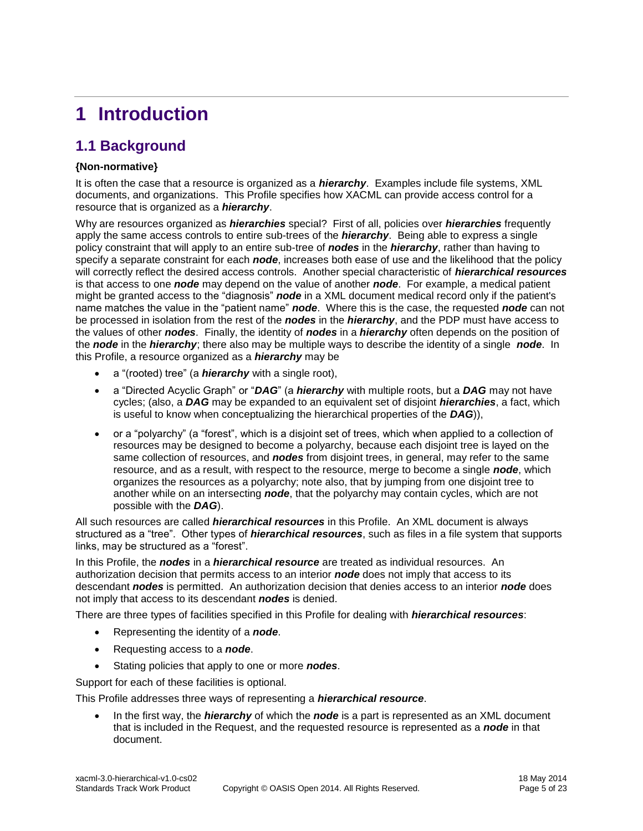## <span id="page-4-0"></span>**1 Introduction**

## <span id="page-4-1"></span>**1.1 Background**

### **{Non-normative}**

It is often the case that a resource is organized as a *hierarchy*. Examples include file systems, XML documents, and organizations. This Profile specifies how XACML can provide access control for a resource that is organized as a *hierarchy*.

Why are resources organized as *hierarchies* special? First of all, policies over *hierarchies* frequently apply the same access controls to entire sub-trees of the *hierarchy*. Being able to express a single policy constraint that will apply to an entire sub-tree of *nodes* in the *hierarchy*, rather than having to specify a separate constraint for each *node*, increases both ease of use and the likelihood that the policy will correctly reflect the desired access controls. Another special characteristic of *hierarchical resources* is that access to one *node* may depend on the value of another *node*. For example, a medical patient might be granted access to the "diagnosis" *node* in a XML document medical record only if the patient's name matches the value in the "patient name" *node*. Where this is the case, the requested *node* can not be processed in isolation from the rest of the *nodes* in the *hierarchy*, and the PDP must have access to the values of other *nodes*. Finally, the identity of *nodes* in a *hierarchy* often depends on the position of the *node* in the *hierarchy*; there also may be multiple ways to describe the identity of a single *node*. In this Profile, a resource organized as a *hierarchy* may be

- a "(rooted) tree" (a *hierarchy* with a single root),
- a "Directed Acyclic Graph" or "*DAG*" (a *hierarchy* with multiple roots, but a *DAG* may not have cycles; (also, a *DAG* may be expanded to an equivalent set of disjoint *hierarchies*, a fact, which is useful to know when conceptualizing the hierarchical properties of the *DAG*)),
- or a "polyarchy" (a "forest", which is a disjoint set of trees, which when applied to a collection of resources may be designed to become a polyarchy, because each disjoint tree is layed on the same collection of resources, and *nodes* from disjoint trees, in general, may refer to the same resource, and as a result, with respect to the resource, merge to become a single *node*, which organizes the resources as a polyarchy; note also, that by jumping from one disjoint tree to another while on an intersecting *node*, that the polyarchy may contain cycles, which are not possible with the *DAG*).

All such resources are called *hierarchical resources* in this Profile. An XML document is always structured as a "tree". Other types of *hierarchical resources*, such as files in a file system that supports links, may be structured as a "forest".

In this Profile, the *nodes* in a *hierarchical resource* are treated as individual resources. An authorization decision that permits access to an interior *node* does not imply that access to its descendant *nodes* is permitted. An authorization decision that denies access to an interior *node* does not imply that access to its descendant *nodes* is denied.

There are three types of facilities specified in this Profile for dealing with *hierarchical resources*:

- Representing the identity of a *node*.
- Requesting access to a *node*.
- Stating policies that apply to one or more *nodes*.

Support for each of these facilities is optional.

This Profile addresses three ways of representing a *hierarchical resource*.

 In the first way, the *hierarchy* of which the *node* is a part is represented as an XML document that is included in the Request, and the requested resource is represented as a *node* in that document.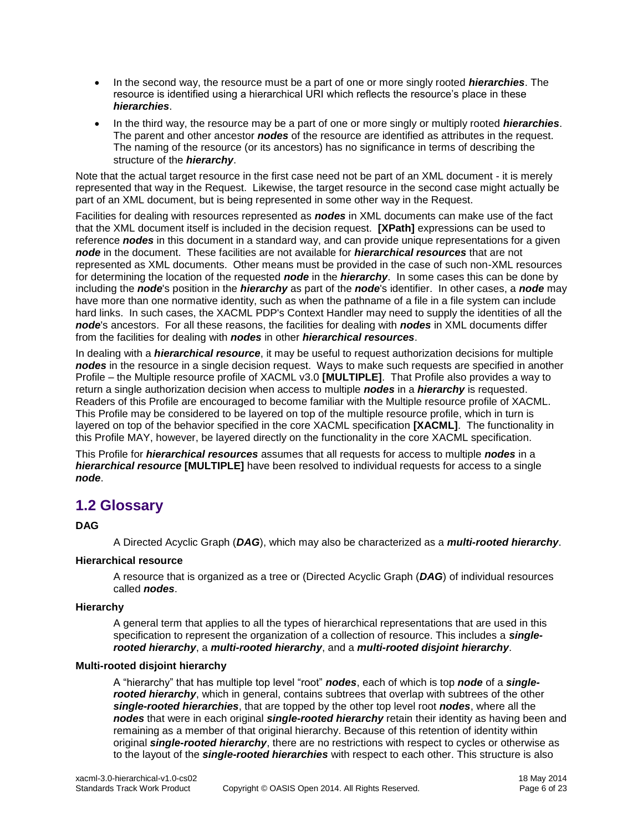- In the second way, the resource must be a part of one or more singly rooted *hierarchies*. The resource is identified using a hierarchical URI which reflects the resource's place in these *hierarchies*.
- In the third way, the resource may be a part of one or more singly or multiply rooted *hierarchies*. The parent and other ancestor *nodes* of the resource are identified as attributes in the request. The naming of the resource (or its ancestors) has no significance in terms of describing the structure of the *hierarchy*.

Note that the actual target resource in the first case need not be part of an XML document - it is merely represented that way in the Request. Likewise, the target resource in the second case might actually be part of an XML document, but is being represented in some other way in the Request.

Facilities for dealing with resources represented as *nodes* in XML documents can make use of the fact that the XML document itself is included in the decision request. **[\[XPath\]](#page-8-1)** expressions can be used to reference *nodes* in this document in a standard way, and can provide unique representations for a given *node* in the document. These facilities are not available for *hierarchical resources* that are not represented as XML documents. Other means must be provided in the case of such non-XML resources for determining the location of the requested *node* in the *hierarchy*. In some cases this can be done by including the *node*'s position in the *hierarchy* as part of the *node*'s identifier. In other cases, a *node* may have more than one normative identity, such as when the pathname of a file in a file system can include hard links. In such cases, the XACML PDP's Context Handler may need to supply the identities of all the *node*'s ancestors. For all these reasons, the facilities for dealing with *nodes* in XML documents differ from the facilities for dealing with *nodes* in other *hierarchical resources*.

In dealing with a *hierarchical resource*, it may be useful to request authorization decisions for multiple *nodes* in the resource in a single decision request. Ways to make such requests are specified in another Profile – the Multiple resource profile of XACML v3.0 **[\[MULTIPLE\]](#page-8-2)**. That Profile also provides a way to return a single authorization decision when access to multiple *nodes* in a *hierarchy* is requested. Readers of this Profile are encouraged to become familiar with the Multiple resource profile of XACML. This Profile may be considered to be layered on top of the multiple resource profile, which in turn is layered on top of the behavior specified in the core XACML specification **[\[XACML\]](#page-8-3)**. The functionality in this Profile MAY, however, be layered directly on the functionality in the core XACML specification.

This Profile for *hierarchical resources* assumes that all requests for access to multiple *nodes* in a *hierarchical resource* **[\[MULTIPLE\]](#page-8-2)** have been resolved to individual requests for access to a single *node*.

## <span id="page-5-0"></span>**1.2 Glossary**

### **DAG**

A Directed Acyclic Graph (*DAG*), which may also be characterized as a *multi-rooted hierarchy*.

#### **Hierarchical resource**

A resource that is organized as a tree or (Directed Acyclic Graph (*DAG*) of individual resources called *nodes*.

#### **Hierarchy**

A general term that applies to all the types of hierarchical representations that are used in this specification to represent the organization of a collection of resource. This includes a *singlerooted hierarchy*, a *multi-rooted hierarchy*, and a *multi-rooted disjoint hierarchy*.

#### **Multi-rooted disjoint hierarchy**

A "hierarchy" that has multiple top level "root" *nodes*, each of which is top *node* of a *singlerooted hierarchy*, which in general, contains subtrees that overlap with subtrees of the other *single-rooted hierarchies*, that are topped by the other top level root *nodes*, where all the *nodes* that were in each original *single-rooted hierarchy* retain their identity as having been and remaining as a member of that original hierarchy. Because of this retention of identity within original *single-rooted hierarchy*, there are no restrictions with respect to cycles or otherwise as to the layout of the *single-rooted hierarchies* with respect to each other. This structure is also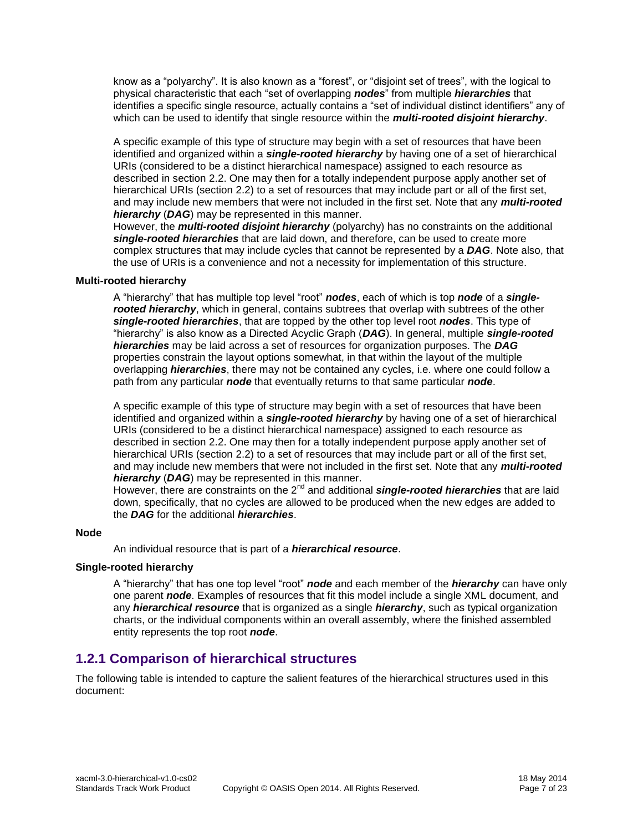know as a "polyarchy". It is also known as a "forest", or "disjoint set of trees", with the logical to physical characteristic that each "set of overlapping *nodes*" from multiple *hierarchies* that identifies a specific single resource, actually contains a "set of individual distinct identifiers" any of which can be used to identify that single resource within the *multi-rooted disjoint hierarchy*.

A specific example of this type of structure may begin with a set of resources that have been identified and organized within a *single-rooted hierarchy* by having one of a set of hierarchical URIs (considered to be a distinct hierarchical namespace) assigned to each resource as described in section [2.2.](#page-9-2) One may then for a totally independent purpose apply another set of hierarchical URIs (section [2.2\)](#page-9-2) to a set of resources that may include part or all of the first set, and may include new members that were not included in the first set. Note that any *multi-rooted hierarchy* (*DAG*) may be represented in this manner.

However, the *multi-rooted disjoint hierarchy* (polyarchy) has no constraints on the additional *single-rooted hierarchies* that are laid down, and therefore, can be used to create more complex structures that may include cycles that cannot be represented by a *DAG*. Note also, that the use of URIs is a convenience and not a necessity for implementation of this structure.

#### **Multi-rooted hierarchy**

A "hierarchy" that has multiple top level "root" *nodes*, each of which is top *node* of a *singlerooted hierarchy*, which in general, contains subtrees that overlap with subtrees of the other *single-rooted hierarchies*, that are topped by the other top level root *nodes*. This type of "hierarchy" is also know as a Directed Acyclic Graph (*DAG*). In general, multiple *single-rooted hierarchies* may be laid across a set of resources for organization purposes. The *DAG* properties constrain the layout options somewhat, in that within the layout of the multiple overlapping *hierarchies*, there may not be contained any cycles, i.e. where one could follow a path from any particular *node* that eventually returns to that same particular *node*.

A specific example of this type of structure may begin with a set of resources that have been identified and organized within a *single-rooted hierarchy* by having one of a set of hierarchical URIs (considered to be a distinct hierarchical namespace) assigned to each resource as described in section [2.2.](#page-9-2) One may then for a totally independent purpose apply another set of hierarchical URIs (section [2.2\)](#page-9-2) to a set of resources that may include part or all of the first set, and may include new members that were not included in the first set. Note that any *multi-rooted hierarchy* (*DAG*) may be represented in this manner.

However, there are constraints on the 2<sup>nd</sup> and additional **single-rooted hierarchies** that are laid down, specifically, that no cycles are allowed to be produced when the new edges are added to the *DAG* for the additional *hierarchies*.

#### **Node**

An individual resource that is part of a *hierarchical resource*.

#### **Single-rooted hierarchy**

A "hierarchy" that has one top level "root" *node* and each member of the *hierarchy* can have only one parent *node*. Examples of resources that fit this model include a single XML document, and any *hierarchical resource* that is organized as a single *hierarchy*, such as typical organization charts, or the individual components within an overall assembly, where the finished assembled entity represents the top root *node*.

### <span id="page-6-0"></span>**1.2.1 Comparison of hierarchical structures**

The following table is intended to capture the salient features of the hierarchical structures used in this document: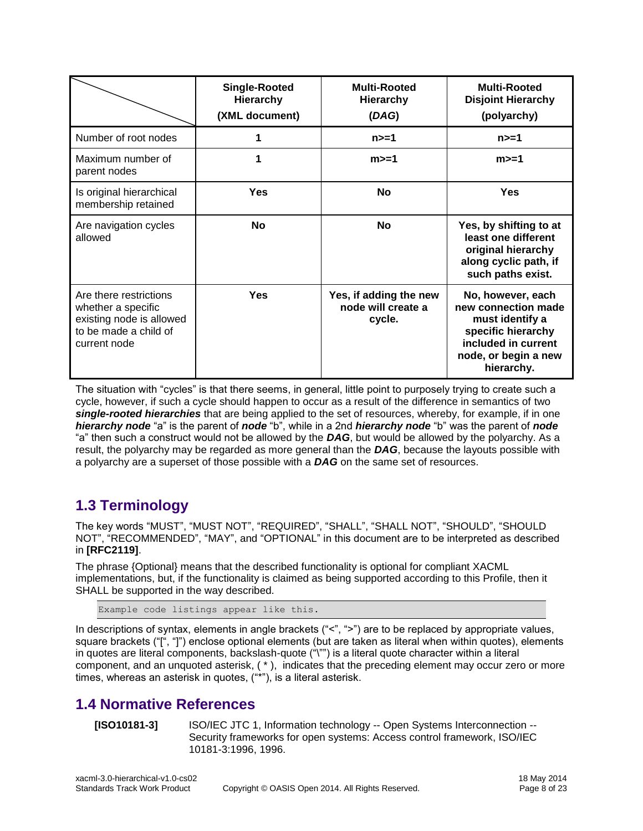|                                                                                                                   | <b>Single-Rooted</b><br><b>Hierarchy</b><br>(XML document) | <b>Multi-Rooted</b><br><b>Hierarchy</b><br>(DAG)       | <b>Multi-Rooted</b><br><b>Disjoint Hierarchy</b><br>(polyarchy)                                                                                |
|-------------------------------------------------------------------------------------------------------------------|------------------------------------------------------------|--------------------------------------------------------|------------------------------------------------------------------------------------------------------------------------------------------------|
| Number of root nodes                                                                                              |                                                            | n>=1                                                   | n>=1                                                                                                                                           |
| Maximum number of<br>parent nodes                                                                                 | 1                                                          | $m>=1$                                                 | $m>=1$                                                                                                                                         |
| Is original hierarchical<br>membership retained                                                                   | <b>Yes</b>                                                 | <b>No</b>                                              | <b>Yes</b>                                                                                                                                     |
| Are navigation cycles<br>allowed                                                                                  | <b>No</b>                                                  | <b>No</b>                                              | Yes, by shifting to at<br>least one different<br>original hierarchy<br>along cyclic path, if<br>such paths exist.                              |
| Are there restrictions<br>whether a specific<br>existing node is allowed<br>to be made a child of<br>current node | <b>Yes</b>                                                 | Yes, if adding the new<br>node will create a<br>cycle. | No, however, each<br>new connection made<br>must identify a<br>specific hierarchy<br>included in current<br>node, or begin a new<br>hierarchy. |

The situation with "cycles" is that there seems, in general, little point to purposely trying to create such a cycle, however, if such a cycle should happen to occur as a result of the difference in semantics of two *single-rooted hierarchies* that are being applied to the set of resources, whereby, for example, if in one *hierarchy node* "a" is the parent of *node* "b", while in a 2nd *hierarchy node* "b" was the parent of *node* "a" then such a construct would not be allowed by the *DAG*, but would be allowed by the polyarchy. As a result, the polyarchy may be regarded as more general than the *DAG*, because the layouts possible with a polyarchy are a superset of those possible with a *DAG* on the same set of resources.

## <span id="page-7-0"></span>**1.3 Terminology**

The key words "MUST", "MUST NOT", "REQUIRED", "SHALL", "SHALL NOT", "SHOULD", "SHOULD NOT", "RECOMMENDED", "MAY", and "OPTIONAL" in this document are to be interpreted as described in **[\[RFC2119\]](#page-8-4)**.

The phrase {Optional} means that the described functionality is optional for compliant XACML implementations, but, if the functionality is claimed as being supported according to this Profile, then it SHALL be supported in the way described.

Example code listings appear like this.

In descriptions of syntax, elements in angle brackets ("<", ">") are to be replaced by appropriate values, square brackets ("[", "]") enclose optional elements (but are taken as literal when within quotes), elements in quotes are literal components, backslash-quote ("\"") is a literal quote character within a literal component, and an unquoted asterisk, ( \* ), indicates that the preceding element may occur zero or more times, whereas an asterisk in quotes, ("\*"), is a literal asterisk.

## <span id="page-7-1"></span>**1.4 Normative References**

**[ISO10181-3]** ISO/IEC JTC 1, Information technology -- Open Systems Interconnection -- Security frameworks for open systems: Access control framework, ISO/IEC 10181-3:1996, 1996.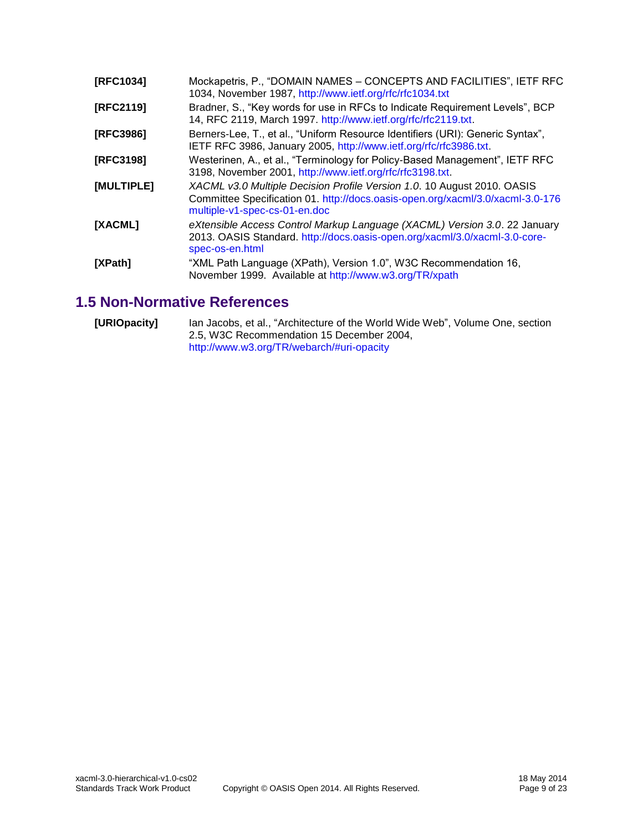<span id="page-8-5"></span><span id="page-8-4"></span><span id="page-8-2"></span>

| [RFC1034]  | Mockapetris, P., "DOMAIN NAMES - CONCEPTS AND FACILITIES", IETF RFC<br>1034, November 1987, http://www.ietf.org/rfc/rfc1034.txt                                                            |  |  |  |  |
|------------|--------------------------------------------------------------------------------------------------------------------------------------------------------------------------------------------|--|--|--|--|
| [RFC2119]  | Bradner, S., "Key words for use in RFCs to Indicate Requirement Levels", BCP<br>14, RFC 2119, March 1997. http://www.ietf.org/rfc/rfc2119.txt.                                             |  |  |  |  |
| [RFC3986]  | Berners-Lee, T., et al., "Uniform Resource Identifiers (URI): Generic Syntax",<br>IETF RFC 3986, January 2005, http://www.ietf.org/rfc/rfc3986.txt.                                        |  |  |  |  |
| [RFC3198]  | Westerinen, A., et al., "Terminology for Policy-Based Management", IETF RFC<br>3198, November 2001, http://www.ietf.org/rfc/rfc3198.txt.                                                   |  |  |  |  |
| [MULTIPLE] | XACML v3.0 Multiple Decision Profile Version 1.0. 10 August 2010. OASIS<br>Committee Specification 01. http://docs.oasis-open.org/xacml/3.0/xacml-3.0-176<br>multiple-v1-spec-cs-01-en.doc |  |  |  |  |
| [XACML]    | eXtensible Access Control Markup Language (XACML) Version 3.0. 22 January<br>2013. OASIS Standard. http://docs.oasis-open.org/xacml/3.0/xacml-3.0-core-<br>spec-os-en.html                 |  |  |  |  |
| [XPath]    | "XML Path Language (XPath), Version 1.0", W3C Recommendation 16,<br>November 1999. Available at http://www.w3.org/TR/xpath                                                                 |  |  |  |  |

## <span id="page-8-3"></span><span id="page-8-1"></span><span id="page-8-0"></span>**1.5 Non-Normative References**

<span id="page-8-6"></span>**[URIOpacity]** Ian Jacobs, et al., "Architecture of the World Wide Web", Volume One, section 2.5, W3C Recommendation 15 December 2004, [http://www.w3.org/TR/webarch/#uri-opacity](http://www.w3.org/TR/webarch/%23uri-opacity)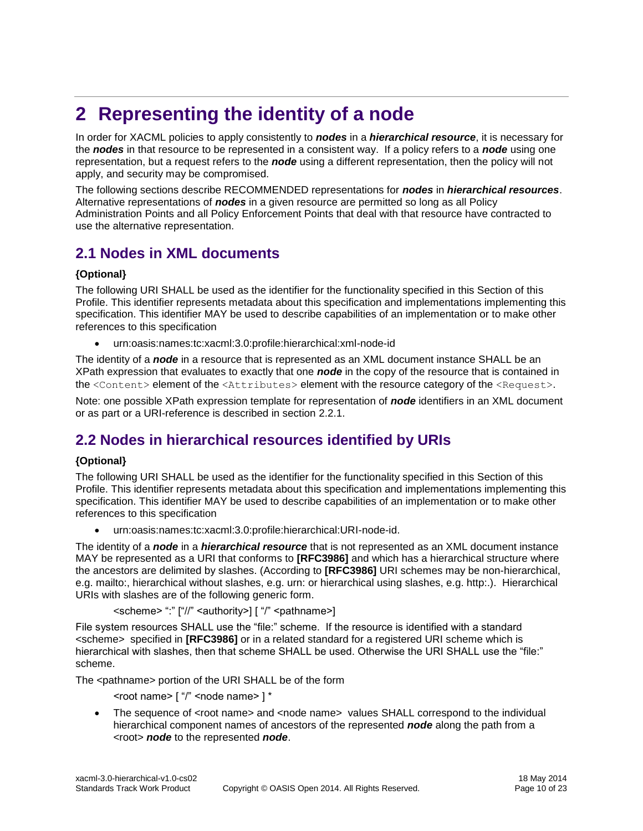## <span id="page-9-0"></span>**2 Representing the identity of a node**

In order for XACML policies to apply consistently to *nodes* in a *hierarchical resource*, it is necessary for the *nodes* in that resource to be represented in a consistent way. If a policy refers to a *node* using one representation, but a request refers to the *node* using a different representation, then the policy will not apply, and security may be compromised.

The following sections describe RECOMMENDED representations for *nodes* in *hierarchical resources*. Alternative representations of *nodes* in a given resource are permitted so long as all Policy Administration Points and all Policy Enforcement Points that deal with that resource have contracted to use the alternative representation.

## <span id="page-9-1"></span>**2.1 Nodes in XML documents**

### **{Optional}**

The following URI SHALL be used as the identifier for the functionality specified in this Section of this Profile. This identifier represents metadata about this specification and implementations implementing this specification. This identifier MAY be used to describe capabilities of an implementation or to make other references to this specification

urn:oasis:names:tc:xacml:3.0:profile:hierarchical:xml-node-id

The identity of a *node* in a resource that is represented as an XML document instance SHALL be an XPath expression that evaluates to exactly that one *node* in the copy of the resource that is contained in the <Content> element of the <Attributes> element with the resource category of the <Request>.

Note: one possible XPath expression template for representation of *node* identifiers in an XML document or as part or a URI-reference is described in section [2.2.1.](#page-10-0)

## <span id="page-9-2"></span>**2.2 Nodes in hierarchical resources identified by URIs**

#### **{Optional}**

The following URI SHALL be used as the identifier for the functionality specified in this Section of this Profile. This identifier represents metadata about this specification and implementations implementing this specification. This identifier MAY be used to describe capabilities of an implementation or to make other references to this specification

urn:oasis:names:tc:xacml:3.0:profile:hierarchical:URI-node-id.

The identity of a *node* in a *hierarchical resource* that is not represented as an XML document instance MAY be represented as a URI that conforms to **[\[RFC3986\]](#page-8-5)** and which has a hierarchical structure where the ancestors are delimited by slashes. (According to **[\[RFC3986\]](#page-8-5)** URI schemes may be non-hierarchical, e.g. mailto:, hierarchical without slashes, e.g. urn: or hierarchical using slashes, e.g. http:.). Hierarchical URIs with slashes are of the following generic form.

```
<scheme> ":" ["//" <authority>] [ "/" <pathname>]
```
File system resources SHALL use the "file:" scheme. If the resource is identified with a standard <scheme> specified in **[\[RFC3986\]](#page-8-5)** or in a related standard for a registered URI scheme which is hierarchical with slashes, then that scheme SHALL be used. Otherwise the URI SHALL use the "file:" scheme.

The <pathname> portion of the URI SHALL be of the form

- <root name> [ "/" <node name> ] \*
- $\bullet$  The sequence of  $\lt$ root name> and  $\lt$ node name> values SHALL correspond to the individual hierarchical component names of ancestors of the represented *node* along the path from a <root> *node* to the represented *node*.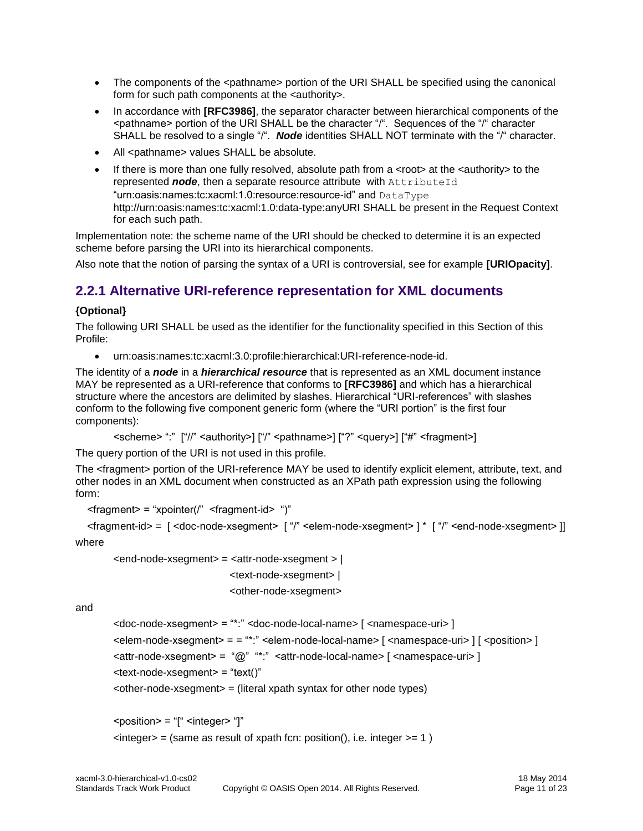- The components of the <pathname> portion of the URI SHALL be specified using the canonical form for such path components at the <authority>.
- In accordance with **[\[RFC3986\]](#page-8-5)**, the separator character between hierarchical components of the  $\epsilon$  spathname> portion of the URI SHALL be the character " $\mu$ ". Sequences of the "/" character SHALL be resolved to a single "/". *Node* identities SHALL NOT terminate with the "/" character.
- All <pathname> values SHALL be absolute.
- If there is more than one fully resolved, absolute path from a  $\lt$ root $\gt$  at the  $\lt$  authority $\gt$  to the represented *node*, then a separate resource attribute with AttributeId "urn:oasis:names:tc:xacml:1.0:resource:resource-id" and DataType http://urn:oasis:names:tc:xacml:1.0:data-type:anyURI SHALL be present in the Request Context for each such path.

Implementation note: the scheme name of the URI should be checked to determine it is an expected scheme before parsing the URI into its hierarchical components.

Also note that the notion of parsing the syntax of a URI is controversial, see for example **[\[URIOpacity\]](#page-8-6)**.

### <span id="page-10-0"></span>**2.2.1 Alternative URI-reference representation for XML documents**

### **{Optional}**

The following URI SHALL be used as the identifier for the functionality specified in this Section of this Profile:

urn:oasis:names:tc:xacml:3.0:profile:hierarchical:URI-reference-node-id.

The identity of a *node* in a *hierarchical resource* that is represented as an XML document instance MAY be represented as a URI-reference that conforms to **[\[RFC3986\]](#page-8-5)** and which has a hierarchical structure where the ancestors are delimited by slashes. Hierarchical "URI-references" with slashes conform to the following five component generic form (where the "URI portion" is the first four components):

```
<scheme> ":" ["//" <authority>] ["/" <pathname>] ["?" <query>] ["#" <fragment>]
```
The query portion of the URI is not used in this profile.

The <fragment> portion of the URI-reference MAY be used to identify explicit element, attribute, text, and other nodes in an XML document when constructed as an XPath path expression using the following form:

```
<fragment = "xpointer(/" <fragment-id < ")"
```

```
\langle = \langle = \rangle = \langle \rangle = \langle \rangle \langle = \langle \rangle = \langle \rangle \langle \rangle \langle \rangle \langle \rangle \langle \rangle \langle \rangle \langle \rangle \langle \rangle \langle \rangle \langle \rangle \langle \rangle \langle \rangle \langle \rangle \langle \rangle \langle \rangle \langle \rangle
```
where

```
<end-node-xsegment> = <attr-node-xsegment > | 
                       <text-node-xsegment> | 
                       <other-node-xsegment>
```
and

<doc-node-xsegment> = "\*:" <doc-node-local-name> [ <namespace-uri> ]  $\leq$ elem-node-xsegment> = = "\*:"  $\leq$ elem-node-local-name> [  $\leq$ namespace-uri> ] [  $\leq$ position> ] <attr-node-xsegment> = "@" "\*:" <attr-node-local-name> [ <namespace-uri> ] <text-node-xsegment> = "text()"  $\epsilon$ -other-node-xsegment $\epsilon$  = (literal xpath syntax for other node types)

```
<position> = "[" <integer> "]" 
\langle = (same as result of xpath fcn: position(), i.e. integer \langle = 1 \rangle
```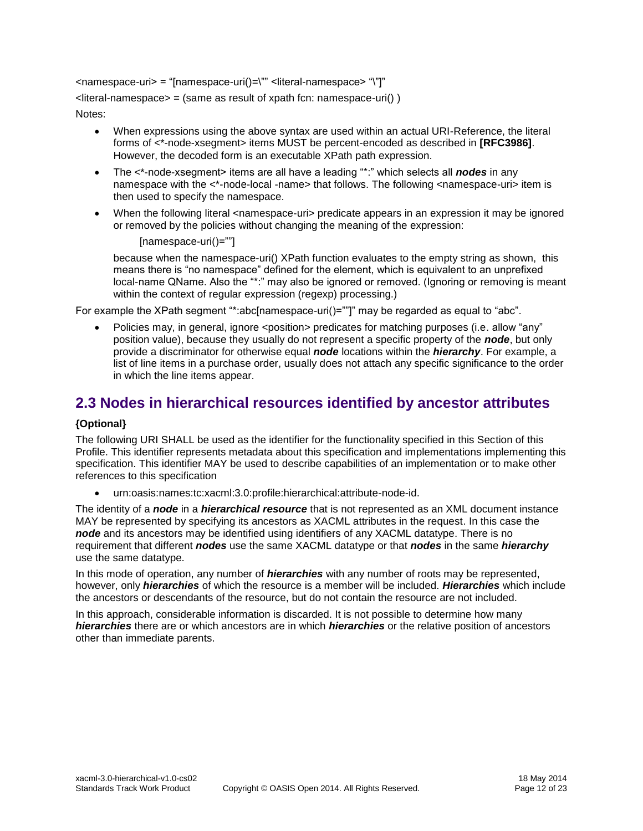<namespace-uri> = "[namespace-uri()=\"" <literal-namespace> "\"]"  $\text{differential-namespace} = (\text{same as result of } \text{xpath for: } \text{namespace-uri}() )$ 

Notes:

- When expressions using the above syntax are used within an actual URI-Reference, the literal forms of <\*-node-xsegment> items MUST be percent-encoded as described in **[\[RFC3986\]](#page-8-5)**. However, the decoded form is an executable XPath path expression.
- The <\*-node-xsegment> items are all have a leading "\*:" which selects all **nodes** in any namespace with the  $\lt^*$ -node-local -name> that follows. The following  $\lt$ namespace-uri> item is then used to specify the namespace.
- When the following literal <namespace-uri> predicate appears in an expression it may be ignored or removed by the policies without changing the meaning of the expression:

```
 [namespace-uri()=""]
```
because when the namespace-uri() XPath function evaluates to the empty string as shown, this means there is "no namespace" defined for the element, which is equivalent to an unprefixed local-name QName. Also the "\*:" may also be ignored or removed. (Ignoring or removing is meant within the context of regular expression (regexp) processing.)

For example the XPath segment "\*:abc[namespace-uri()=""]" may be regarded as equal to "abc".

Policies may, in general, ignore <position> predicates for matching purposes (i.e. allow "any" position value), because they usually do not represent a specific property of the *node*, but only provide a discriminator for otherwise equal *node* locations within the *hierarchy*. For example, a list of line items in a purchase order, usually does not attach any specific significance to the order in which the line items appear.

## <span id="page-11-0"></span>**2.3 Nodes in hierarchical resources identified by ancestor attributes**

#### **{Optional}**

The following URI SHALL be used as the identifier for the functionality specified in this Section of this Profile. This identifier represents metadata about this specification and implementations implementing this specification. This identifier MAY be used to describe capabilities of an implementation or to make other references to this specification

urn:oasis:names:tc:xacml:3.0:profile:hierarchical:attribute-node-id.

The identity of a *node* in a *hierarchical resource* that is not represented as an XML document instance MAY be represented by specifying its ancestors as XACML attributes in the request. In this case the *node* and its ancestors may be identified using identifiers of any XACML datatype. There is no requirement that different *nodes* use the same XACML datatype or that *nodes* in the same *hierarchy* use the same datatype.

In this mode of operation, any number of *hierarchies* with any number of roots may be represented, however, only *hierarchies* of which the resource is a member will be included. *Hierarchies* which include the ancestors or descendants of the resource, but do not contain the resource are not included.

In this approach, considerable information is discarded. It is not possible to determine how many *hierarchies* there are or which ancestors are in which *hierarchies* or the relative position of ancestors other than immediate parents.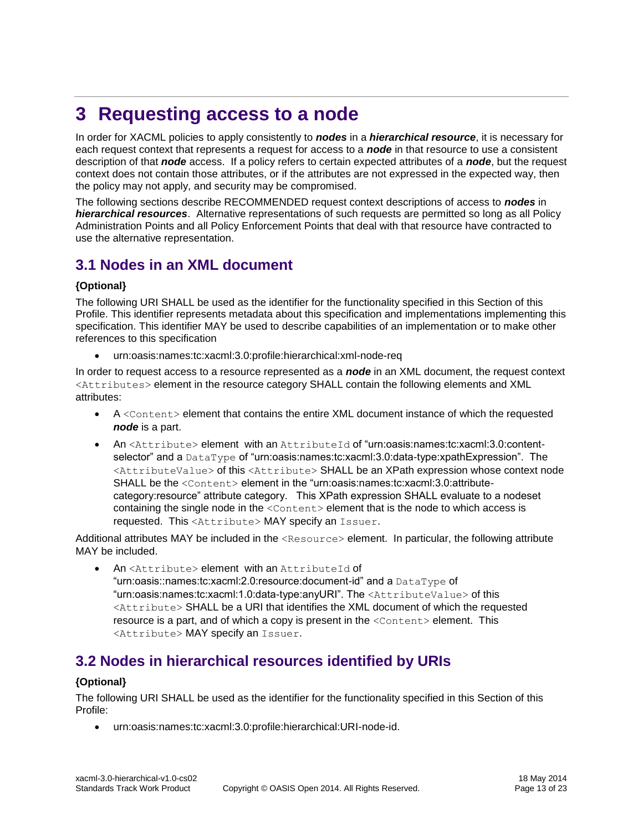## <span id="page-12-0"></span>**3 Requesting access to a node**

In order for XACML policies to apply consistently to *nodes* in a *hierarchical resource*, it is necessary for each request context that represents a request for access to a *node* in that resource to use a consistent description of that *node* access. If a policy refers to certain expected attributes of a *node*, but the request context does not contain those attributes, or if the attributes are not expressed in the expected way, then the policy may not apply, and security may be compromised.

The following sections describe RECOMMENDED request context descriptions of access to *nodes* in *hierarchical resources*. Alternative representations of such requests are permitted so long as all Policy Administration Points and all Policy Enforcement Points that deal with that resource have contracted to use the alternative representation.

## <span id="page-12-1"></span>**3.1 Nodes in an XML document**

#### **{Optional}**

The following URI SHALL be used as the identifier for the functionality specified in this Section of this Profile. This identifier represents metadata about this specification and implementations implementing this specification. This identifier MAY be used to describe capabilities of an implementation or to make other references to this specification

urn:oasis:names:tc:xacml:3.0:profile:hierarchical:xml-node-req

In order to request access to a resource represented as a *node* in an XML document, the request context <Attributes> element in the resource category SHALL contain the following elements and XML attributes:

- $\bullet$  A <Content> element that contains the entire XML document instance of which the requested *node* is a part.
- An <Attribute> element with an AttributeId of "urn:oasis:names:tc:xacml:3.0:contentselector" and a DataType of "urn:oasis:names:tc:xacml:3.0:data-type:xpathExpression". The <AttributeValue> of this <Attribute> SHALL be an XPath expression whose context node SHALL be the <Content> element in the "urn:oasis:names:tc:xacml:3.0:attributecategory:resource" attribute category. This XPath expression SHALL evaluate to a nodeset containing the single node in the <Content> element that is the node to which access is requested. This <Attribute> MAY specify an Issuer.

Additional attributes MAY be included in the <Resource> element. In particular, the following attribute MAY be included.

An <Attribute> element with an AttributeId of "urn:oasis::names:tc:xacml:2.0:resource:document-id" and a DataType of "urn:oasis:names:tc:xacml:1.0:data-type:anyURI". The <AttributeValue> of this <Attribute> SHALL be a URI that identifies the XML document of which the requested resource is a part, and of which a copy is present in the  $\leq$ Content> element. This <Attribute> MAY specify an Issuer.

## <span id="page-12-2"></span>**3.2 Nodes in hierarchical resources identified by URIs**

### **{Optional}**

The following URI SHALL be used as the identifier for the functionality specified in this Section of this Profile:

urn:oasis:names:tc:xacml:3.0:profile:hierarchical:URI-node-id.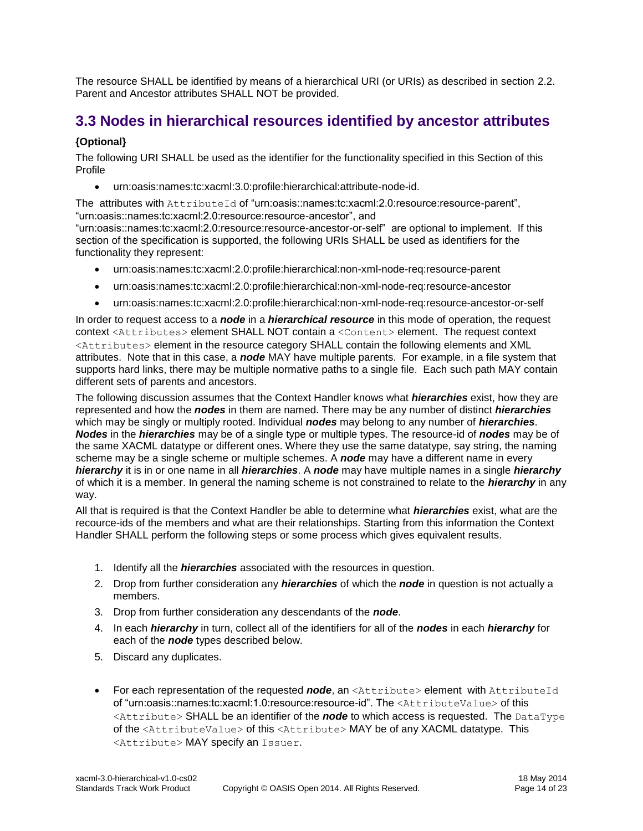The resource SHALL be identified by means of a hierarchical URI (or URIs) as described in section [2.2.](#page-9-2) Parent and Ancestor attributes SHALL NOT be provided.

## <span id="page-13-0"></span>**3.3 Nodes in hierarchical resources identified by ancestor attributes**

### **{Optional}**

The following URI SHALL be used as the identifier for the functionality specified in this Section of this Profile

urn:oasis:names:tc:xacml:3.0:profile:hierarchical:attribute-node-id.

The attributes with AttributeId of "urn:oasis::names:tc:xacml:2.0:resource:resource-parent", "urn:oasis::names:tc:xacml:2.0:resource:resource-ancestor", and

"urn:oasis::names:tc:xacml:2.0:resource:resource-ancestor-or-self" are optional to implement. If this section of the specification is supported, the following URIs SHALL be used as identifiers for the functionality they represent:

- urn:oasis:names:tc:xacml:2.0:profile:hierarchical:non-xml-node-req:resource-parent
- urn:oasis:names:tc:xacml:2.0:profile:hierarchical:non-xml-node-req:resource-ancestor
- urn:oasis:names:tc:xacml:2.0:profile:hierarchical:non-xml-node-req:resource-ancestor-or-self

In order to request access to a *node* in a *hierarchical resource* in this mode of operation, the request context <Attributes> element SHALL NOT contain a <Content> element. The request context <Attributes> element in the resource category SHALL contain the following elements and XML attributes. Note that in this case, a *node* MAY have multiple parents. For example, in a file system that supports hard links, there may be multiple normative paths to a single file. Each such path MAY contain different sets of parents and ancestors.

The following discussion assumes that the Context Handler knows what *hierarchies* exist, how they are represented and how the *nodes* in them are named. There may be any number of distinct *hierarchies* which may be singly or multiply rooted. Individual *nodes* may belong to any number of *hierarchies*. *Nodes* in the *hierarchies* may be of a single type or multiple types. The resource-id of *nodes* may be of the same XACML datatype or different ones. Where they use the same datatype, say string, the naming scheme may be a single scheme or multiple schemes. A *node* may have a different name in every *hierarchy* it is in or one name in all *hierarchies*. A *node* may have multiple names in a single *hierarchy* of which it is a member. In general the naming scheme is not constrained to relate to the *hierarchy* in any way.

All that is required is that the Context Handler be able to determine what *hierarchies* exist, what are the recource-ids of the members and what are their relationships. Starting from this information the Context Handler SHALL perform the following steps or some process which gives equivalent results.

- 1. Identify all the *hierarchies* associated with the resources in question.
- 2. Drop from further consideration any *hierarchies* of which the *node* in question is not actually a members.
- 3. Drop from further consideration any descendants of the *node*.
- 4. In each *hierarchy* in turn, collect all of the identifiers for all of the *nodes* in each *hierarchy* for each of the *node* types described below.
- 5. Discard any duplicates.
- For each representation of the requested *node*, an <Attribute> element with AttributeId of "urn:oasis::names:tc:xacml:1.0:resource:resource-id". The <AttributeValue> of this <Attribute> SHALL be an identifier of the *node* to which access is requested. The DataType of the <AttributeValue> of this <Attribute> MAY be of any XACML datatype. This <Attribute> MAY specify an Issuer.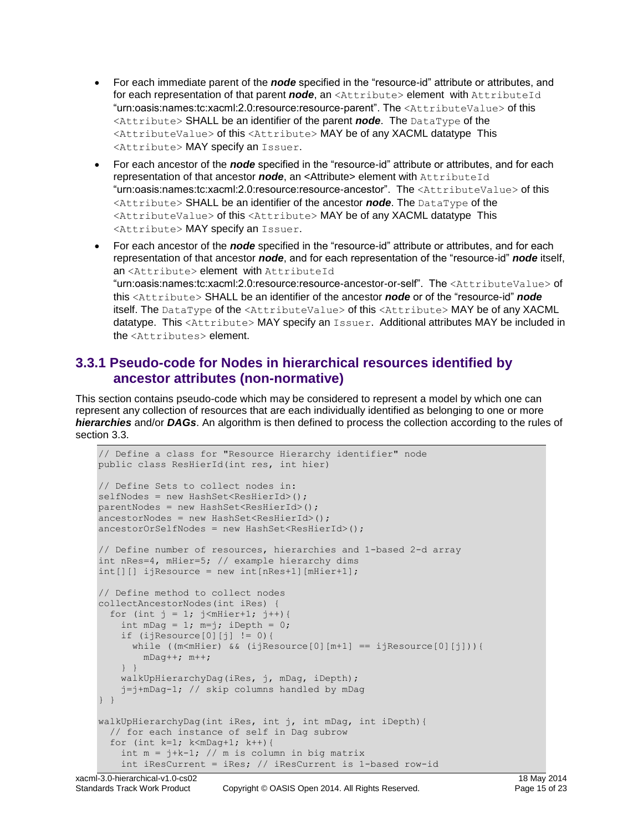- For each immediate parent of the *node* specified in the "resource-id" attribute or attributes, and for each representation of that parent *node*, an <Attribute> element with AttributeId "urn:oasis:names:tc:xacml:2.0:resource:resource-parent". The <AttributeValue> of this <Attribute> SHALL be an identifier of the parent *node*. The DataType of the <AttributeValue> of this <Attribute> MAY be of any XACML datatype This <Attribute> MAY specify an Issuer.
- For each ancestor of the *node* specified in the "resource-id" attribute or attributes, and for each representation of that ancestor *node*, an <Attribute> element with AttributeId "urn:oasis:names:tc:xacml:2.0:resource:resource-ancestor". The <AttributeValue> of this <Attribute> SHALL be an identifier of the ancestor *node*. The DataType of the <AttributeValue> of this <Attribute> MAY be of any XACML datatype This <Attribute> MAY specify an Issuer.
- For each ancestor of the *node* specified in the "resource-id" attribute or attributes, and for each representation of that ancestor *node*, and for each representation of the "resource-id" *node* itself, an <Attribute> element with AttributeId "urn:oasis:names:tc:xacml:2.0:resource:resource-ancestor-or-self". The <AttributeValue> of this <Attribute> SHALL be an identifier of the ancestor *node* or of the "resource-id" *node* itself. The DataType of the <AttributeValue> of this <Attribute> MAY be of any XACML datatype. This <Attribute> MAY specify an Issuer. Additional attributes MAY be included in the <Attributes> element.

### <span id="page-14-0"></span>**3.3.1 Pseudo-code for Nodes in hierarchical resources identified by ancestor attributes (non-normative)**

This section contains pseudo-code which may be considered to represent a model by which one can represent any collection of resources that are each individually identified as belonging to one or more *hierarchies* and/or *DAGs*. An algorithm is then defined to process the collection according to the rules of section 3.3.

```
// Define a class for "Resource Hierarchy identifier" node
public class ResHierId(int res, int hier)
// Define Sets to collect nodes in:
selfNodes = new HashSet<ResHierId>();
parentNodes = new HashSet<ResHierId>();
ancestorNodes = new HashSet<ResHierId>();
ancestorOrSelfNodes = new HashSet<ResHierId>();
// Define number of resources, hierarchies and 1-based 2-d array
int nRes=4, mHier=5; // example hierarchy dims
int[][] ijResource = new int[nRes+1][mHier+1];
// Define method to collect nodes
collectAncestorNodes(int iRes) {
  for (int j = 1; j < mHier+1; j ++) {
    int mDag = 1; m=j; iDepth = 0;
    if (ijResource[0][j] != 0)\{while ((m<mHier) && (ijResource[0][m+1] == ijResource[0][j])){
         mDag++; m++;
    } }
    walkUpHierarchyDag(iRes, j, mDag, iDepth);
    j=j+mDag-1; // skip columns handled by mDag
} }
walkUpHierarchyDag(int iRes, int j, int mDag, int iDepth){
   // for each instance of self in Dag subrow
  for (int k=1; k<mDag+1; k++){
    int m = j+k-1; // m is column in big matrix
     int iResCurrent = iRes; // iResCurrent is 1-based row-id
```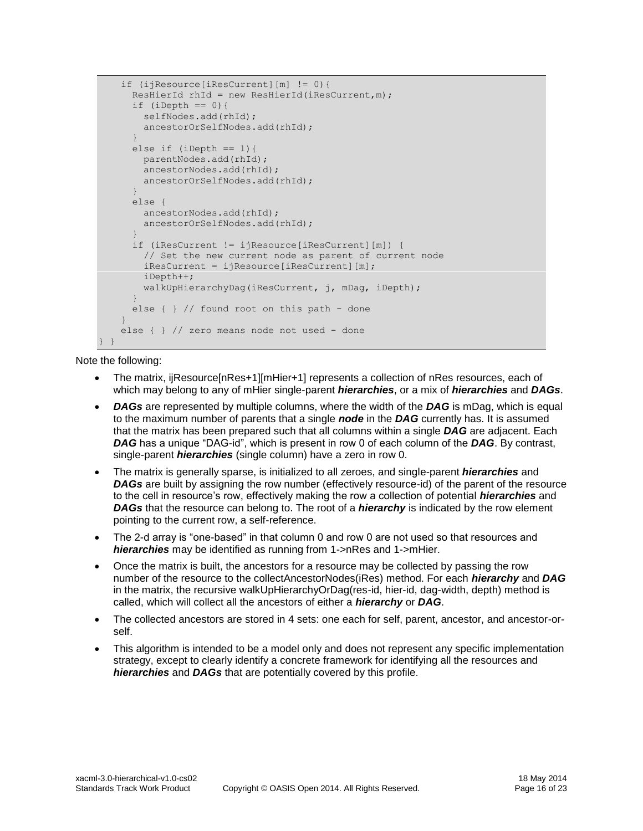```
 if (ijResource[iResCurrent][m] != 0){
       ResHierId rhId = new ResHierId(iResCurrent,m);
      if (iDepth == 0) {
         selfNodes.add(rhId);
         ancestorOrSelfNodes.add(rhId);
\qquad \qquad \}else if (iDepth == 1) {
         parentNodes.add(rhId);
         ancestorNodes.add(rhId);
        ancestorOrSelfNodes.add(rhId);
\qquad \qquad \} else {
         ancestorNodes.add(rhId);
         ancestorOrSelfNodes.add(rhId);
\qquad \qquad \} if (iResCurrent != ijResource[iResCurrent][m]) {
         // Set the new current node as parent of current node
        iResCurrent = ijResource[iResCurrent][m];
         iDepth++;
         walkUpHierarchyDag(iResCurrent, j, mDag, iDepth);
\qquad \qquad \}else \{\ \} // found root on this path - done
 }
    else { } // zero means node not used - done
} }
```
Note the following:

- The matrix, ijResource[nRes+1][mHier+1] represents a collection of nRes resources, each of which may belong to any of mHier single-parent *hierarchies*, or a mix of *hierarchies* and *DAGs*.
- *DAGs* are represented by multiple columns, where the width of the *DAG* is mDag, which is equal to the maximum number of parents that a single *node* in the *DAG* currently has. It is assumed that the matrix has been prepared such that all columns within a single *DAG* are adjacent. Each *DAG* has a unique "DAG-id", which is present in row 0 of each column of the *DAG*. By contrast, single-parent *hierarchies* (single column) have a zero in row 0.
- The matrix is generally sparse, is initialized to all zeroes, and single-parent *hierarchies* and **DAGs** are built by assigning the row number (effectively resource-id) of the parent of the resource to the cell in resource's row, effectively making the row a collection of potential *hierarchies* and *DAGs* that the resource can belong to. The root of a *hierarchy* is indicated by the row element pointing to the current row, a self-reference.
- The 2-d array is "one-based" in that column 0 and row 0 are not used so that resources and *hierarchies* may be identified as running from 1->nRes and 1->mHier.
- Once the matrix is built, the ancestors for a resource may be collected by passing the row number of the resource to the collectAncestorNodes(iRes) method. For each *hierarchy* and *DAG* in the matrix, the recursive walkUpHierarchyOrDag(res-id, hier-id, dag-width, depth) method is called, which will collect all the ancestors of either a *hierarchy* or *DAG*.
- The collected ancestors are stored in 4 sets: one each for self, parent, ancestor, and ancestor-orself.
- This algorithm is intended to be a model only and does not represent any specific implementation strategy, except to clearly identify a concrete framework for identifying all the resources and *hierarchies* and *DAGs* that are potentially covered by this profile.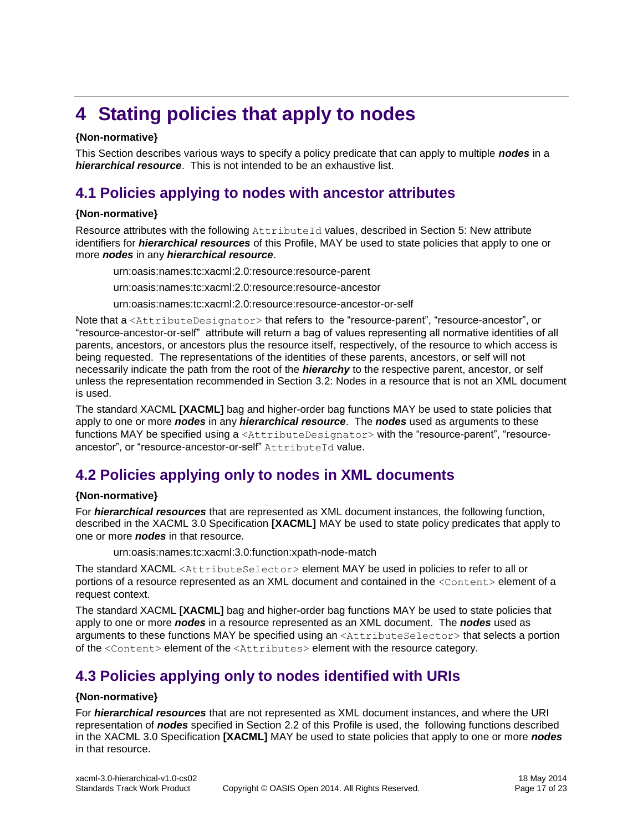## <span id="page-16-0"></span>**4 Stating policies that apply to nodes**

#### **{Non-normative}**

This Section describes various ways to specify a policy predicate that can apply to multiple *nodes* in a *hierarchical resource*. This is not intended to be an exhaustive list.

## <span id="page-16-1"></span>**4.1 Policies applying to nodes with ancestor attributes**

### **{Non-normative}**

Resource attributes with the following AttributeId values, described in Section [5:](#page-18-0) New attribute identifiers for *hierarchical resources* of this Profile, MAY be used to state policies that apply to one or more *nodes* in any *hierarchical resource*.

urn:oasis:names:tc:xacml:2.0:resource:resource-parent

urn:oasis:names:tc:xacml:2.0:resource:resource-ancestor

urn:oasis:names:tc:xacml:2.0:resource:resource-ancestor-or-self

Note that a <AttributeDesignator> that refers to the "resource-parent", "resource-ancestor", or "resource-ancestor-or-self" attribute will return a bag of values representing all normative identities of all parents, ancestors, or ancestors plus the resource itself, respectively, of the resource to which access is being requested. The representations of the identities of these parents, ancestors, or self will not necessarily indicate the path from the root of the *hierarchy* to the respective parent, ancestor, or self unless the representation recommended in Section [3.2:](#page-12-2) Nodes in a resource that is not an XML document is used.

The standard XACML **[\[XACML\]](#page-8-3)** bag and higher-order bag functions MAY be used to state policies that apply to one or more *nodes* in any *hierarchical resource*. The *nodes* used as arguments to these functions MAY be specified using a <AttributeDesignator> with the "resource-parent", "resourceancestor", or "resource-ancestor-or-self" AttributeId value.

## <span id="page-16-2"></span>**4.2 Policies applying only to nodes in XML documents**

#### **{Non-normative}**

For *hierarchical resources* that are represented as XML document instances, the following function, described in the XACML 3.0 Specification **[\[XACML\]](#page-8-3)** MAY be used to state policy predicates that apply to one or more *nodes* in that resource.

urn:oasis:names:tc:xacml:3.0:function:xpath-node-match

The standard XACML <AttributeSelector> element MAY be used in policies to refer to all or portions of a resource represented as an XML document and contained in the <Content> element of a request context.

The standard XACML **[\[XACML\]](#page-8-3)** bag and higher-order bag functions MAY be used to state policies that apply to one or more *nodes* in a resource represented as an XML document. The *nodes* used as arguments to these functions MAY be specified using an <AttributeSelector> that selects a portion of the <Content> element of the <Attributes> element with the resource category.

## <span id="page-16-3"></span>**4.3 Policies applying only to nodes identified with URIs**

#### **{Non-normative}**

For *hierarchical resources* that are not represented as XML document instances, and where the URI representation of *nodes* specified in Section [2.2](#page-9-2) of this Profile is used, the following functions described in the XACML 3.0 Specification **[\[XACML\]](#page-8-3)** MAY be used to state policies that apply to one or more *nodes* in that resource.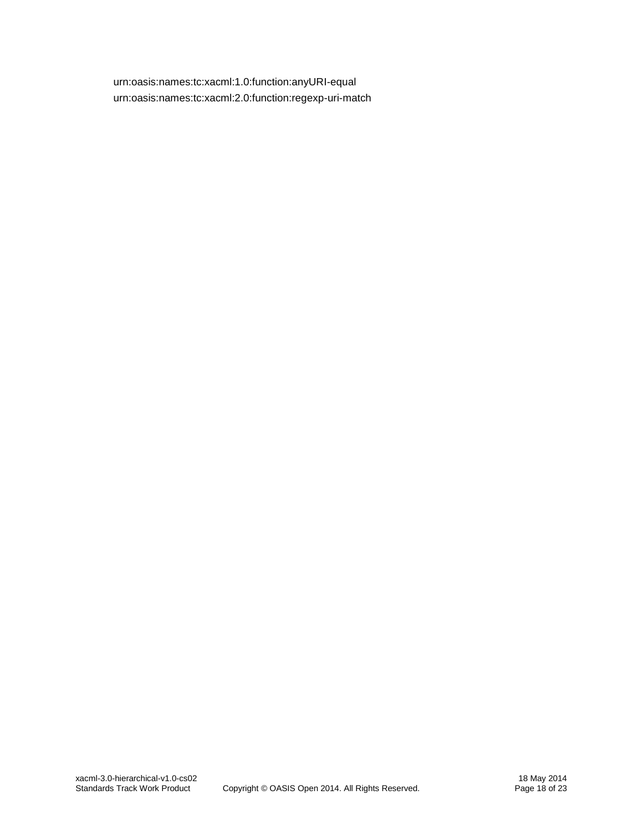urn:oasis:names:tc:xacml:1.0:function:anyURI-equal urn:oasis:names:tc:xacml:2.0:function:regexp-uri-match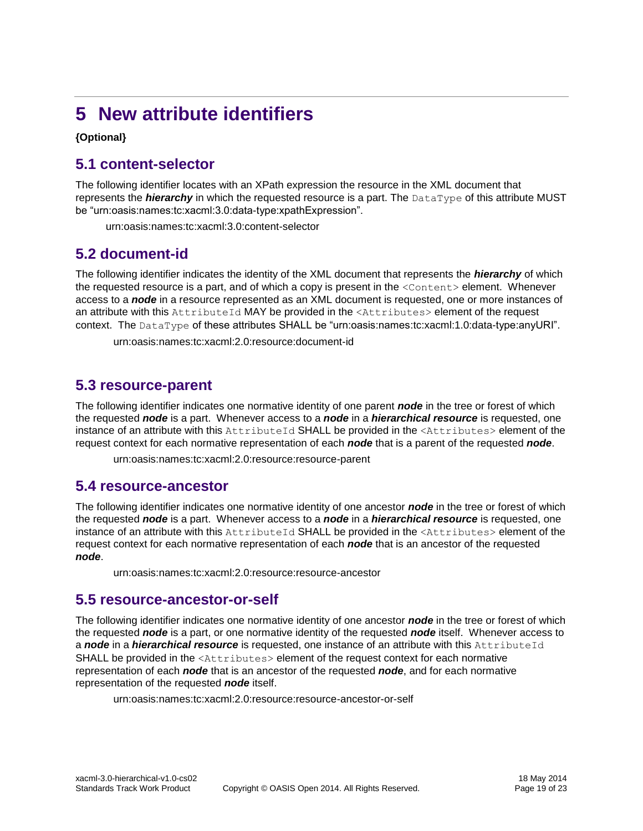## <span id="page-18-0"></span>**5 New attribute identifiers**

**{Optional}**

## <span id="page-18-1"></span>**5.1 content-selector**

The following identifier locates with an XPath expression the resource in the XML document that represents the *hierarchy* in which the requested resource is a part. The DataType of this attribute MUST be "urn:oasis:names:tc:xacml:3.0:data-type:xpathExpression".

urn:oasis:names:tc:xacml:3.0:content-selector

### <span id="page-18-2"></span>**5.2 document-id**

The following identifier indicates the identity of the XML document that represents the *hierarchy* of which the requested resource is a part, and of which a copy is present in the  $\leq$ Content> element. Whenever access to a *node* in a resource represented as an XML document is requested, one or more instances of an attribute with this AttributeId MAY be provided in the <Attributes> element of the request context. The DataType of these attributes SHALL be "urn:oasis:names:tc:xacml:1.0:data-type:anyURI".

urn:oasis:names:tc:xacml:2.0:resource:document-id

## <span id="page-18-3"></span>**5.3 resource-parent**

The following identifier indicates one normative identity of one parent *node* in the tree or forest of which the requested *node* is a part. Whenever access to a *node* in a *hierarchical resource* is requested, one instance of an attribute with this AttributeId SHALL be provided in the <Attributes> element of the request context for each normative representation of each *node* that is a parent of the requested *node*.

urn:oasis:names:tc:xacml:2.0:resource:resource-parent

### <span id="page-18-4"></span>**5.4 resource-ancestor**

The following identifier indicates one normative identity of one ancestor *node* in the tree or forest of which the requested *node* is a part. Whenever access to a *node* in a *hierarchical resource* is requested, one instance of an attribute with this AttributeId SHALL be provided in the <Attributes> element of the request context for each normative representation of each *node* that is an ancestor of the requested *node*.

urn:oasis:names:tc:xacml:2.0:resource:resource-ancestor

### <span id="page-18-5"></span>**5.5 resource-ancestor-or-self**

The following identifier indicates one normative identity of one ancestor *node* in the tree or forest of which the requested *node* is a part, or one normative identity of the requested *node* itself. Whenever access to a *node* in a *hierarchical resource* is requested, one instance of an attribute with this AttributeId SHALL be provided in the <Attributes> element of the request context for each normative representation of each *node* that is an ancestor of the requested *node*, and for each normative representation of the requested *node* itself.

urn:oasis:names:tc:xacml:2.0:resource:resource-ancestor-or-self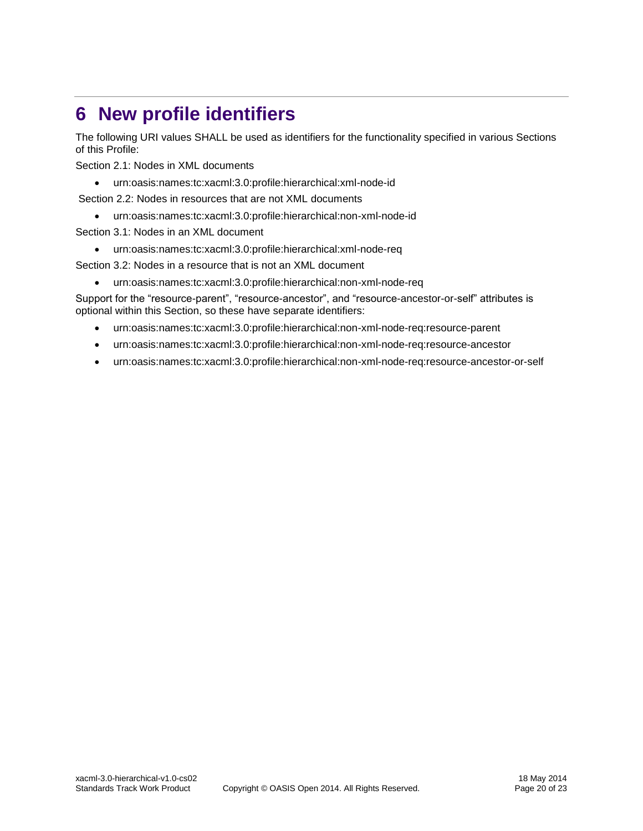## <span id="page-19-0"></span>**6 New profile identifiers**

The following URI values SHALL be used as identifiers for the functionality specified in various Sections of this Profile:

Section [2.1:](#page-9-1) Nodes in XML documents

urn:oasis:names:tc:xacml:3.0:profile:hierarchical:xml-node-id

Section [2.2:](#page-9-2) Nodes in resources that are not XML documents

urn:oasis:names:tc:xacml:3.0:profile:hierarchical:non-xml-node-id

Section [3.1:](#page-12-1) Nodes in an XML document

urn:oasis:names:tc:xacml:3.0:profile:hierarchical:xml-node-req

Section [3.2:](#page-12-2) Nodes in a resource that is not an XML document

urn:oasis:names:tc:xacml:3.0:profile:hierarchical:non-xml-node-req

Support for the "resource-parent", "resource-ancestor", and "resource-ancestor-or-self" attributes is optional within this Section, so these have separate identifiers:

- urn:oasis:names:tc:xacml:3.0:profile:hierarchical:non-xml-node-req:resource-parent
- urn:oasis:names:tc:xacml:3.0:profile:hierarchical:non-xml-node-req:resource-ancestor
- urn:oasis:names:tc:xacml:3.0:profile:hierarchical:non-xml-node-req:resource-ancestor-or-self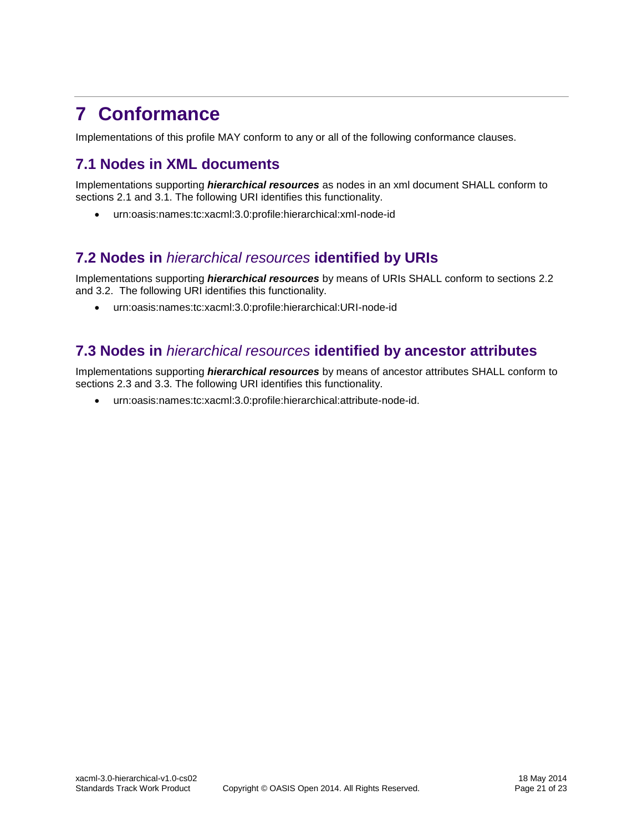## <span id="page-20-0"></span>**7 Conformance**

Implementations of this profile MAY conform to any or all of the following conformance clauses.

## <span id="page-20-1"></span>**7.1 Nodes in XML documents**

Implementations supporting *hierarchical resources* as nodes in an xml document SHALL conform to sections [2.1](#page-9-1) and [3.1.](#page-12-1) The following URI identifies this functionality.

urn:oasis:names:tc:xacml:3.0:profile:hierarchical:xml-node-id

## <span id="page-20-2"></span>**7.2 Nodes in** *hierarchical resources* **identified by URIs**

Implementations supporting *hierarchical resources* by means of URIs SHALL conform to sections [2.2](#page-9-2) and [3.2.](#page-12-2) The following URI identifies this functionality.

urn:oasis:names:tc:xacml:3.0:profile:hierarchical:URI-node-id

## <span id="page-20-3"></span>**7.3 Nodes in** *hierarchical resources* **identified by ancestor attributes**

Implementations supporting *hierarchical resources* by means of ancestor attributes SHALL conform to sections [2.3](#page-11-0) and [3.3.](#page-13-0) The following URI identifies this functionality.

urn:oasis:names:tc:xacml:3.0:profile:hierarchical:attribute-node-id.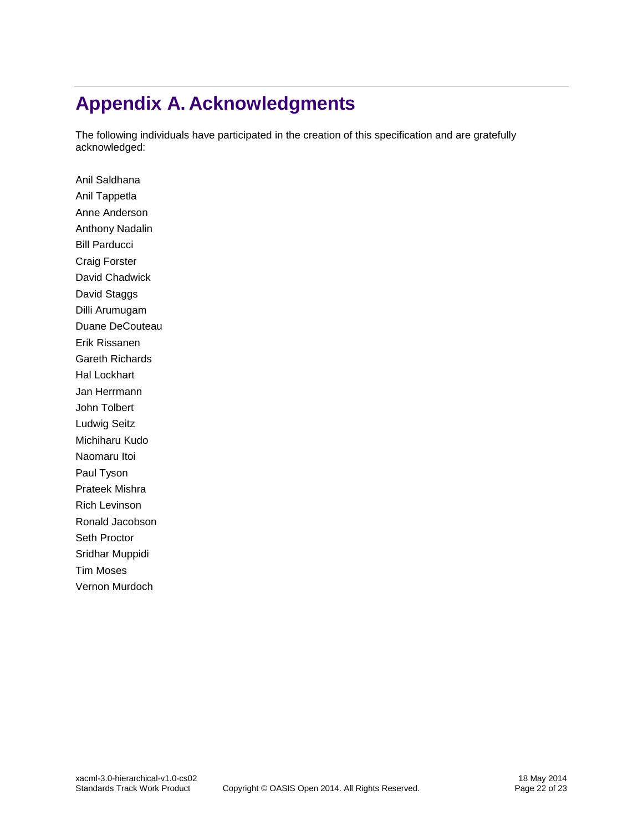## <span id="page-21-0"></span>**Appendix A. Acknowledgments**

The following individuals have participated in the creation of this specification and are gratefully acknowledged:

Anil Saldhana Anil Tappetla Anne Anderson Anthony Nadalin Bill Parducci Craig Forster David Chadwick David Staggs Dilli Arumugam Duane DeCouteau Erik Rissanen Gareth Richards Hal Lockhart Jan Herrmann John Tolbert Ludwig Seitz Michiharu Kudo Naomaru Itoi Paul Tyson Prateek Mishra Rich Levinson Ronald Jacobson Seth Proctor Sridhar Muppidi Tim Moses Vernon Murdoch